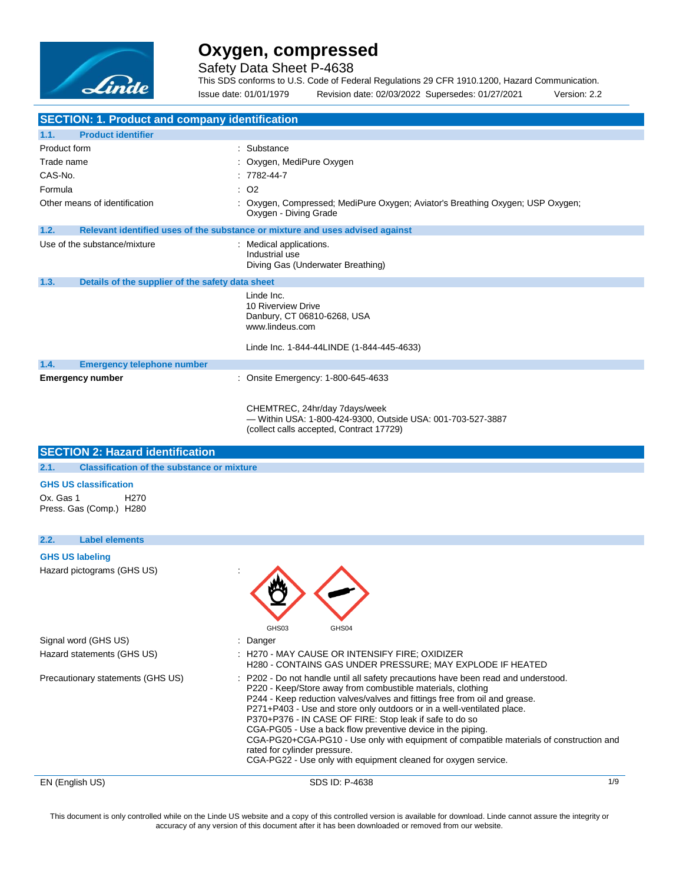

Safety Data Sheet P-4638

This SDS conforms to U.S. Code of Federal Regulations 29 CFR 1910.1200, Hazard Communication. Issue date: 01/01/1979 Revision date: 02/03/2022 Supersedes: 01/27/2021 Version: 2.2

| <b>SECTION: 1. Product and company identification</b>                                    |                                                                                                                                                                                                                                                                                                                                                                                                                                                                                                                                                                                                                                |  |
|------------------------------------------------------------------------------------------|--------------------------------------------------------------------------------------------------------------------------------------------------------------------------------------------------------------------------------------------------------------------------------------------------------------------------------------------------------------------------------------------------------------------------------------------------------------------------------------------------------------------------------------------------------------------------------------------------------------------------------|--|
| 1.1.<br><b>Product identifier</b>                                                        |                                                                                                                                                                                                                                                                                                                                                                                                                                                                                                                                                                                                                                |  |
| Product form                                                                             | : Substance                                                                                                                                                                                                                                                                                                                                                                                                                                                                                                                                                                                                                    |  |
| Trade name                                                                               | Oxygen, MediPure Oxygen                                                                                                                                                                                                                                                                                                                                                                                                                                                                                                                                                                                                        |  |
| CAS-No.                                                                                  | 7782-44-7                                                                                                                                                                                                                                                                                                                                                                                                                                                                                                                                                                                                                      |  |
| Formula                                                                                  | O2                                                                                                                                                                                                                                                                                                                                                                                                                                                                                                                                                                                                                             |  |
| Other means of identification                                                            | : Oxygen, Compressed; MediPure Oxygen; Aviator's Breathing Oxygen; USP Oxygen;<br>Oxygen - Diving Grade                                                                                                                                                                                                                                                                                                                                                                                                                                                                                                                        |  |
| 1.2.                                                                                     | Relevant identified uses of the substance or mixture and uses advised against                                                                                                                                                                                                                                                                                                                                                                                                                                                                                                                                                  |  |
| Use of the substance/mixture                                                             | : Medical applications.<br>Industrial use<br>Diving Gas (Underwater Breathing)                                                                                                                                                                                                                                                                                                                                                                                                                                                                                                                                                 |  |
| 1.3.<br>Details of the supplier of the safety data sheet                                 |                                                                                                                                                                                                                                                                                                                                                                                                                                                                                                                                                                                                                                |  |
|                                                                                          | Linde Inc.<br>10 Riverview Drive<br>Danbury, CT 06810-6268, USA<br>www.lindeus.com                                                                                                                                                                                                                                                                                                                                                                                                                                                                                                                                             |  |
|                                                                                          | Linde Inc. 1-844-44LINDE (1-844-445-4633)                                                                                                                                                                                                                                                                                                                                                                                                                                                                                                                                                                                      |  |
| 1.4.<br><b>Emergency telephone number</b>                                                |                                                                                                                                                                                                                                                                                                                                                                                                                                                                                                                                                                                                                                |  |
| <b>Emergency number</b>                                                                  | Onsite Emergency: 1-800-645-4633                                                                                                                                                                                                                                                                                                                                                                                                                                                                                                                                                                                               |  |
|                                                                                          | CHEMTREC, 24hr/day 7days/week<br>- Within USA: 1-800-424-9300, Outside USA: 001-703-527-3887<br>(collect calls accepted, Contract 17729)                                                                                                                                                                                                                                                                                                                                                                                                                                                                                       |  |
| <b>SECTION 2: Hazard identification</b>                                                  |                                                                                                                                                                                                                                                                                                                                                                                                                                                                                                                                                                                                                                |  |
| 2.1.<br><b>Classification of the substance or mixture</b>                                |                                                                                                                                                                                                                                                                                                                                                                                                                                                                                                                                                                                                                                |  |
| <b>GHS US classification</b><br>Ox. Gas 1<br>H <sub>270</sub><br>Press. Gas (Comp.) H280 |                                                                                                                                                                                                                                                                                                                                                                                                                                                                                                                                                                                                                                |  |
| 2.2.<br><b>Label elements</b>                                                            |                                                                                                                                                                                                                                                                                                                                                                                                                                                                                                                                                                                                                                |  |
| <b>GHS US labeling</b>                                                                   |                                                                                                                                                                                                                                                                                                                                                                                                                                                                                                                                                                                                                                |  |
| Hazard pictograms (GHS US)                                                               | GHS03<br>GHS04                                                                                                                                                                                                                                                                                                                                                                                                                                                                                                                                                                                                                 |  |
| Signal word (GHS US)                                                                     | Danger                                                                                                                                                                                                                                                                                                                                                                                                                                                                                                                                                                                                                         |  |
| Hazard statements (GHS US)                                                               | : H270 - MAY CAUSE OR INTENSIFY FIRE; OXIDIZER<br>H280 - CONTAINS GAS UNDER PRESSURE; MAY EXPLODE IF HEATED                                                                                                                                                                                                                                                                                                                                                                                                                                                                                                                    |  |
| Precautionary statements (GHS US)                                                        | P202 - Do not handle until all safety precautions have been read and understood.<br>P220 - Keep/Store away from combustible materials, clothing<br>P244 - Keep reduction valves/valves and fittings free from oil and grease.<br>P271+P403 - Use and store only outdoors or in a well-ventilated place.<br>P370+P376 - IN CASE OF FIRE: Stop leak if safe to do so<br>CGA-PG05 - Use a back flow preventive device in the piping.<br>CGA-PG20+CGA-PG10 - Use only with equipment of compatible materials of construction and<br>rated for cylinder pressure.<br>CGA-PG22 - Use only with equipment cleaned for oxygen service. |  |

EN (English US) SDS ID: P-4638 1/9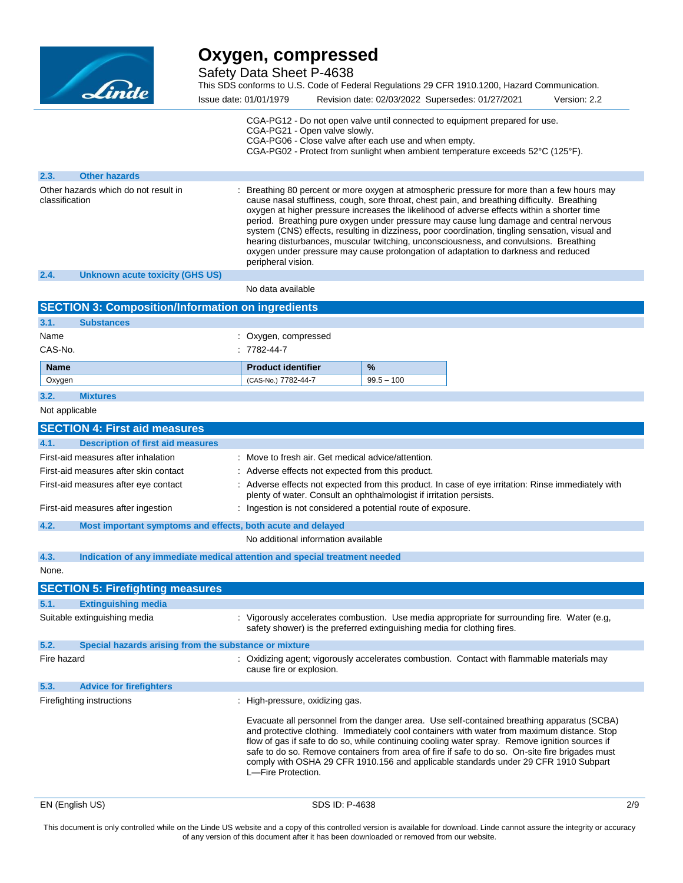

**2.3. Other hazards**

# **Oxygen, compressed**

Safety Data Sheet P-4638

This SDS conforms to U.S. Code of Federal Regulations 29 CFR 1910.1200, Hazard Communication.

| Issue date: 01/01/1979 | Revision date: 02/03/2022 Supersedes: 01/27/2021                                                                                                                                                                                                                              | Version: 2.2 |
|------------------------|-------------------------------------------------------------------------------------------------------------------------------------------------------------------------------------------------------------------------------------------------------------------------------|--------------|
|                        | CGA-PG12 - Do not open valve until connected to equipment prepared for use.<br>CGA-PG21 - Open valve slowly.<br>CGA-PG06 - Close valve after each use and when empty.<br>CGA-PG02 - Protect from sunlight when ambient temperature exceeds $52^{\circ}$ C (125 $^{\circ}$ F). |              |

| Other hazards which do not result in<br>classification | : Breathing 80 percent or more oxygen at atmospheric pressure for more than a few hours may<br>cause nasal stuffiness, cough, sore throat, chest pain, and breathing difficulty. Breathing<br>oxygen at higher pressure increases the likelihood of adverse effects within a shorter time<br>period. Breathing pure oxygen under pressure may cause lung damage and central nervous<br>system (CNS) effects, resulting in dizziness, poor coordination, tingling sensation, visual and<br>hearing disturbances, muscular twitching, unconsciousness, and convulsions. Breathing<br>oxygen under pressure may cause prolongation of adaptation to darkness and reduced<br>peripheral vision. |
|--------------------------------------------------------|---------------------------------------------------------------------------------------------------------------------------------------------------------------------------------------------------------------------------------------------------------------------------------------------------------------------------------------------------------------------------------------------------------------------------------------------------------------------------------------------------------------------------------------------------------------------------------------------------------------------------------------------------------------------------------------------|
|                                                        |                                                                                                                                                                                                                                                                                                                                                                                                                                                                                                                                                                                                                                                                                             |

**2.4. Unknown acute toxicity (GHS US)**

No data available

| <b>SECTION 3: Composition/Information on ingredients</b> |                   |                           |               |
|----------------------------------------------------------|-------------------|---------------------------|---------------|
| 3.1.                                                     | <b>Substances</b> |                           |               |
| Name                                                     |                   | : Oxygen, compressed      |               |
| CAS-No.                                                  |                   | $: 7782 - 44 - 7$         |               |
| <b>Name</b>                                              |                   | <b>Product identifier</b> | $\frac{9}{6}$ |
| Oxygen                                                   |                   | (CAS-No.) 7782-44-7       | $99.5 - 100$  |
| 3.2.                                                     | <b>Mixtures</b>   |                           |               |

### Not applicable

|                                      | <b>SECTION 4: First aid measures</b>                                       |                                                                                                                                                                                                                                                                                                                                                                                                                                                                                                             |
|--------------------------------------|----------------------------------------------------------------------------|-------------------------------------------------------------------------------------------------------------------------------------------------------------------------------------------------------------------------------------------------------------------------------------------------------------------------------------------------------------------------------------------------------------------------------------------------------------------------------------------------------------|
| 4.1.                                 | <b>Description of first aid measures</b>                                   |                                                                                                                                                                                                                                                                                                                                                                                                                                                                                                             |
|                                      | First-aid measures after inhalation                                        | : Move to fresh air. Get medical advice/attention.                                                                                                                                                                                                                                                                                                                                                                                                                                                          |
|                                      | First-aid measures after skin contact                                      | : Adverse effects not expected from this product.                                                                                                                                                                                                                                                                                                                                                                                                                                                           |
| First-aid measures after eye contact |                                                                            | : Adverse effects not expected from this product. In case of eye irritation: Rinse immediately with<br>plenty of water. Consult an ophthalmologist if irritation persists.                                                                                                                                                                                                                                                                                                                                  |
|                                      | First-aid measures after ingestion                                         | : Ingestion is not considered a potential route of exposure.                                                                                                                                                                                                                                                                                                                                                                                                                                                |
| 4.2.                                 | Most important symptoms and effects, both acute and delayed                |                                                                                                                                                                                                                                                                                                                                                                                                                                                                                                             |
|                                      |                                                                            | No additional information available                                                                                                                                                                                                                                                                                                                                                                                                                                                                         |
| 4.3.                                 | Indication of any immediate medical attention and special treatment needed |                                                                                                                                                                                                                                                                                                                                                                                                                                                                                                             |
| None.                                |                                                                            |                                                                                                                                                                                                                                                                                                                                                                                                                                                                                                             |
|                                      | <b>SECTION 5: Firefighting measures</b>                                    |                                                                                                                                                                                                                                                                                                                                                                                                                                                                                                             |
| 5.1.                                 | <b>Extinguishing media</b>                                                 |                                                                                                                                                                                                                                                                                                                                                                                                                                                                                                             |
|                                      | Suitable extinguishing media                                               | : Vigorously accelerates combustion. Use media appropriate for surrounding fire. Water (e.g.<br>safety shower) is the preferred extinguishing media for clothing fires.                                                                                                                                                                                                                                                                                                                                     |
| 5.2.                                 | Special hazards arising from the substance or mixture                      |                                                                                                                                                                                                                                                                                                                                                                                                                                                                                                             |
| Fire hazard                          |                                                                            | : Oxidizing agent; vigorously accelerates combustion. Contact with flammable materials may<br>cause fire or explosion.                                                                                                                                                                                                                                                                                                                                                                                      |
| 5.3.                                 | <b>Advice for firefighters</b>                                             |                                                                                                                                                                                                                                                                                                                                                                                                                                                                                                             |
|                                      | Firefighting instructions                                                  | : High-pressure, oxidizing gas.                                                                                                                                                                                                                                                                                                                                                                                                                                                                             |
|                                      |                                                                            | Evacuate all personnel from the danger area. Use self-contained breathing apparatus (SCBA)<br>and protective clothing. Immediately cool containers with water from maximum distance. Stop<br>flow of gas if safe to do so, while continuing cooling water spray. Remove ignition sources if<br>safe to do so. Remove containers from area of fire if safe to do so. On-site fire brigades must<br>comply with OSHA 29 CFR 1910.156 and applicable standards under 29 CFR 1910 Subpart<br>L-Fire Protection. |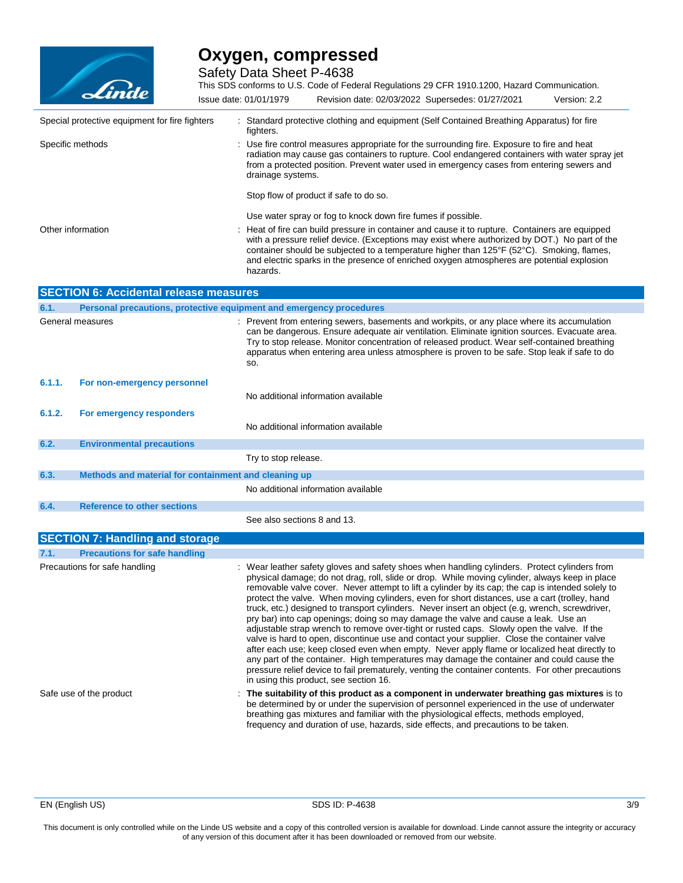

Safety Data Sheet P-4638

This SDS conforms to U.S. Code of Federal Regulations 29 CFR 1910.1200, Hazard Communication. Issue date: 01/01/1979 Revision date: 02/03/2022 Supersedes: 01/27/2021 Version: 2.2

|                         | Special protective equipment for fire fighters       | : Standard protective clothing and equipment (Self Contained Breathing Apparatus) for fire<br>fighters.                                                                                                                                                                                                                                                                                                                                                                                                                                                                                                                                                                                                                                                                                                                                                                                                                                                                                                                                                                                                                                 |
|-------------------------|------------------------------------------------------|-----------------------------------------------------------------------------------------------------------------------------------------------------------------------------------------------------------------------------------------------------------------------------------------------------------------------------------------------------------------------------------------------------------------------------------------------------------------------------------------------------------------------------------------------------------------------------------------------------------------------------------------------------------------------------------------------------------------------------------------------------------------------------------------------------------------------------------------------------------------------------------------------------------------------------------------------------------------------------------------------------------------------------------------------------------------------------------------------------------------------------------------|
| Specific methods        |                                                      | : Use fire control measures appropriate for the surrounding fire. Exposure to fire and heat<br>radiation may cause gas containers to rupture. Cool endangered containers with water spray jet<br>from a protected position. Prevent water used in emergency cases from entering sewers and<br>drainage systems.                                                                                                                                                                                                                                                                                                                                                                                                                                                                                                                                                                                                                                                                                                                                                                                                                         |
|                         |                                                      | Stop flow of product if safe to do so.                                                                                                                                                                                                                                                                                                                                                                                                                                                                                                                                                                                                                                                                                                                                                                                                                                                                                                                                                                                                                                                                                                  |
|                         |                                                      | Use water spray or fog to knock down fire fumes if possible.                                                                                                                                                                                                                                                                                                                                                                                                                                                                                                                                                                                                                                                                                                                                                                                                                                                                                                                                                                                                                                                                            |
| Other information       |                                                      | Heat of fire can build pressure in container and cause it to rupture. Containers are equipped<br>with a pressure relief device. (Exceptions may exist where authorized by DOT.) No part of the<br>container should be subjected to a temperature higher than 125°F (52°C). Smoking, flames,<br>and electric sparks in the presence of enriched oxygen atmospheres are potential explosion<br>hazards.                                                                                                                                                                                                                                                                                                                                                                                                                                                                                                                                                                                                                                                                                                                                   |
|                         | <b>SECTION 6: Accidental release measures</b>        |                                                                                                                                                                                                                                                                                                                                                                                                                                                                                                                                                                                                                                                                                                                                                                                                                                                                                                                                                                                                                                                                                                                                         |
| 6.1.                    |                                                      | Personal precautions, protective equipment and emergency procedures                                                                                                                                                                                                                                                                                                                                                                                                                                                                                                                                                                                                                                                                                                                                                                                                                                                                                                                                                                                                                                                                     |
|                         | General measures                                     | Prevent from entering sewers, basements and workpits, or any place where its accumulation<br>can be dangerous. Ensure adequate air ventilation. Eliminate ignition sources. Evacuate area.<br>Try to stop release. Monitor concentration of released product. Wear self-contained breathing<br>apparatus when entering area unless atmosphere is proven to be safe. Stop leak if safe to do<br>SO.                                                                                                                                                                                                                                                                                                                                                                                                                                                                                                                                                                                                                                                                                                                                      |
| 6.1.1.                  | For non-emergency personnel                          |                                                                                                                                                                                                                                                                                                                                                                                                                                                                                                                                                                                                                                                                                                                                                                                                                                                                                                                                                                                                                                                                                                                                         |
|                         |                                                      | No additional information available                                                                                                                                                                                                                                                                                                                                                                                                                                                                                                                                                                                                                                                                                                                                                                                                                                                                                                                                                                                                                                                                                                     |
| 6.1.2.                  | For emergency responders                             |                                                                                                                                                                                                                                                                                                                                                                                                                                                                                                                                                                                                                                                                                                                                                                                                                                                                                                                                                                                                                                                                                                                                         |
|                         |                                                      | No additional information available                                                                                                                                                                                                                                                                                                                                                                                                                                                                                                                                                                                                                                                                                                                                                                                                                                                                                                                                                                                                                                                                                                     |
| 6.2.                    | <b>Environmental precautions</b>                     |                                                                                                                                                                                                                                                                                                                                                                                                                                                                                                                                                                                                                                                                                                                                                                                                                                                                                                                                                                                                                                                                                                                                         |
|                         |                                                      | Try to stop release.                                                                                                                                                                                                                                                                                                                                                                                                                                                                                                                                                                                                                                                                                                                                                                                                                                                                                                                                                                                                                                                                                                                    |
| 6.3.                    | Methods and material for containment and cleaning up |                                                                                                                                                                                                                                                                                                                                                                                                                                                                                                                                                                                                                                                                                                                                                                                                                                                                                                                                                                                                                                                                                                                                         |
|                         |                                                      | No additional information available                                                                                                                                                                                                                                                                                                                                                                                                                                                                                                                                                                                                                                                                                                                                                                                                                                                                                                                                                                                                                                                                                                     |
| 6.4.                    | <b>Reference to other sections</b>                   |                                                                                                                                                                                                                                                                                                                                                                                                                                                                                                                                                                                                                                                                                                                                                                                                                                                                                                                                                                                                                                                                                                                                         |
|                         |                                                      | See also sections 8 and 13.                                                                                                                                                                                                                                                                                                                                                                                                                                                                                                                                                                                                                                                                                                                                                                                                                                                                                                                                                                                                                                                                                                             |
|                         | <b>SECTION 7: Handling and storage</b>               |                                                                                                                                                                                                                                                                                                                                                                                                                                                                                                                                                                                                                                                                                                                                                                                                                                                                                                                                                                                                                                                                                                                                         |
| 7.1.                    | <b>Precautions for safe handling</b>                 |                                                                                                                                                                                                                                                                                                                                                                                                                                                                                                                                                                                                                                                                                                                                                                                                                                                                                                                                                                                                                                                                                                                                         |
|                         | Precautions for safe handling                        | : Wear leather safety gloves and safety shoes when handling cylinders. Protect cylinders from<br>physical damage; do not drag, roll, slide or drop. While moving cylinder, always keep in place<br>removable valve cover. Never attempt to lift a cylinder by its cap; the cap is intended solely to<br>protect the valve. When moving cylinders, even for short distances, use a cart (trolley, hand<br>truck, etc.) designed to transport cylinders. Never insert an object (e.g, wrench, screwdriver,<br>pry bar) into cap openings; doing so may damage the valve and cause a leak. Use an<br>adjustable strap wrench to remove over-tight or rusted caps. Slowly open the valve. If the<br>valve is hard to open, discontinue use and contact your supplier. Close the container valve<br>after each use; keep closed even when empty. Never apply flame or localized heat directly to<br>any part of the container. High temperatures may damage the container and could cause the<br>pressure relief device to fail prematurely, venting the container contents. For other precautions<br>in using this product, see section 16. |
| Safe use of the product |                                                      | : The suitability of this product as a component in underwater breathing gas mixtures is to<br>be determined by or under the supervision of personnel experienced in the use of underwater<br>breathing gas mixtures and familiar with the physiological effects, methods employed,<br>frequency and duration of use, hazards, side effects, and precautions to be taken.                                                                                                                                                                                                                                                                                                                                                                                                                                                                                                                                                                                                                                                                                                                                                               |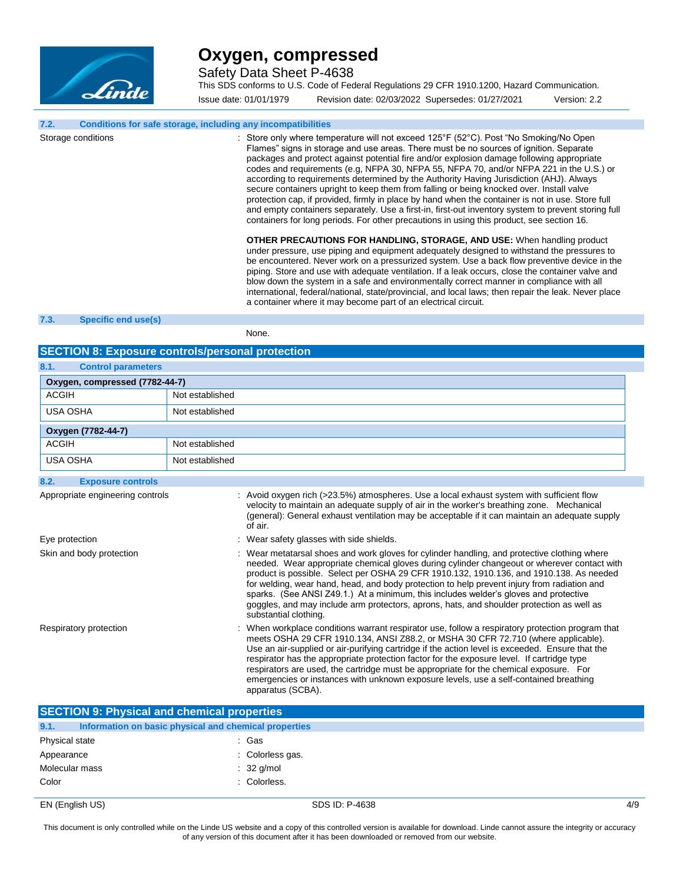

Safety Data Sheet P-4638

This SDS conforms to U.S. Code of Federal Regulations 29 CFR 1910.1200, Hazard Communication.

Issue date: 01/01/1979 Revision date: 02/03/2022 Supersedes: 01/27/2021 Version: 2.2

#### **7.2. Conditions for safe storage, including any incompatibilities**

Storage conditions **Storage conditions** : Store only where temperature will not exceed 125°F (52°C). Post "No Smoking/No Open Flames" signs in storage and use areas. There must be no sources of ignition. Separate packages and protect against potential fire and/or explosion damage following appropriate codes and requirements (e.g, NFPA 30, NFPA 55, NFPA 70, and/or NFPA 221 in the U.S.) or according to requirements determined by the Authority Having Jurisdiction (AHJ). Always secure containers upright to keep them from falling or being knocked over. Install valve protection cap, if provided, firmly in place by hand when the container is not in use. Store full and empty containers separately. Use a first-in, first-out inventory system to prevent storing full containers for long periods. For other precautions in using this product, see section 16.

> **OTHER PRECAUTIONS FOR HANDLING, STORAGE, AND USE:** When handling product under pressure, use piping and equipment adequately designed to withstand the pressures to be encountered. Never work on a pressurized system. Use a back flow preventive device in the piping. Store and use with adequate ventilation. If a leak occurs, close the container valve and blow down the system in a safe and environmentally correct manner in compliance with all international, federal/national, state/provincial, and local laws; then repair the leak. Never place a container where it may become part of an electrical circuit.

#### **7.3. Specific end use(s)**

None.

### **SECTION 8: Exposure controls/personal protection**

| 8.1.<br><b>Control parameters</b> |                                                                                                                                                                                                                                                                                                                                                                                                                                                                                                                                                                                                     |  |
|-----------------------------------|-----------------------------------------------------------------------------------------------------------------------------------------------------------------------------------------------------------------------------------------------------------------------------------------------------------------------------------------------------------------------------------------------------------------------------------------------------------------------------------------------------------------------------------------------------------------------------------------------------|--|
| Oxygen, compressed (7782-44-7)    |                                                                                                                                                                                                                                                                                                                                                                                                                                                                                                                                                                                                     |  |
| <b>ACGIH</b>                      | Not established                                                                                                                                                                                                                                                                                                                                                                                                                                                                                                                                                                                     |  |
| <b>USA OSHA</b>                   | Not established                                                                                                                                                                                                                                                                                                                                                                                                                                                                                                                                                                                     |  |
| Oxygen (7782-44-7)                |                                                                                                                                                                                                                                                                                                                                                                                                                                                                                                                                                                                                     |  |
| <b>ACGIH</b>                      | Not established                                                                                                                                                                                                                                                                                                                                                                                                                                                                                                                                                                                     |  |
| <b>USA OSHA</b>                   | Not established                                                                                                                                                                                                                                                                                                                                                                                                                                                                                                                                                                                     |  |
| <b>Exposure controls</b><br>8.2.  |                                                                                                                                                                                                                                                                                                                                                                                                                                                                                                                                                                                                     |  |
| Appropriate engineering controls  | : Avoid oxygen rich (>23.5%) atmospheres. Use a local exhaust system with sufficient flow<br>velocity to maintain an adequate supply of air in the worker's breathing zone. Mechanical<br>(general): General exhaust ventilation may be acceptable if it can maintain an adequate supply<br>of air.                                                                                                                                                                                                                                                                                                 |  |
| Eye protection                    | : Wear safety glasses with side shields.                                                                                                                                                                                                                                                                                                                                                                                                                                                                                                                                                            |  |
| Skin and body protection          | : Wear metatarsal shoes and work gloves for cylinder handling, and protective clothing where<br>needed. Wear appropriate chemical gloves during cylinder changeout or wherever contact with<br>product is possible. Select per OSHA 29 CFR 1910.132, 1910.136, and 1910.138. As needed<br>for welding, wear hand, head, and body protection to help prevent injury from radiation and<br>sparks. (See ANSI Z49.1.) At a minimum, this includes welder's gloves and protective<br>goggles, and may include arm protectors, aprons, hats, and shoulder protection as well as<br>substantial clothing. |  |
| Respiratory protection            | : When workplace conditions warrant respirator use, follow a respiratory protection program that<br>meets OSHA 29 CFR 1910.134, ANSI Z88.2, or MSHA 30 CFR 72.710 (where applicable).<br>Use an air-supplied or air-purifying cartridge if the action level is exceeded. Ensure that the<br>respirator has the appropriate protection factor for the exposure level. If cartridge type<br>respirators are used, the cartridge must be appropriate for the chemical exposure. For<br>emergencies or instances with unknown exposure levels, use a self-contained breathing<br>apparatus (SCBA).      |  |

| <b>SECTION 9: Physical and chemical properties</b> |                                                       |     |
|----------------------------------------------------|-------------------------------------------------------|-----|
| 9.1.                                               | Information on basic physical and chemical properties |     |
| Physical state                                     | : Gas                                                 |     |
| Appearance                                         | : Colorless gas.                                      |     |
| Molecular mass                                     | $: 32$ g/mol                                          |     |
| Color                                              | : Colorless.                                          |     |
| EN (English US)                                    | SDS ID: P-4638                                        | 4/9 |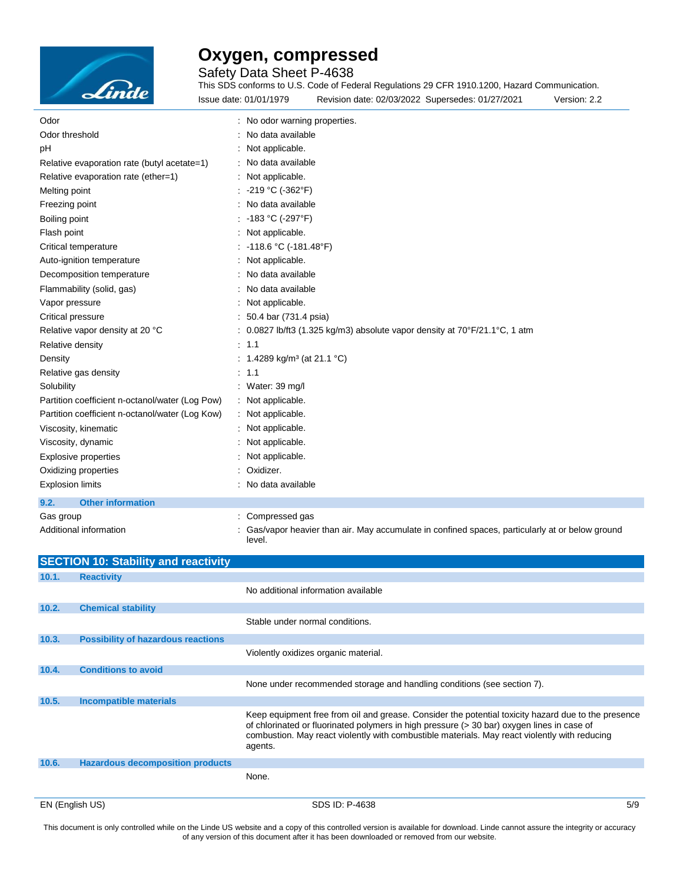

Safety Data Sheet P-4638

This SDS conforms to U.S. Code of Federal Regulations 29 CFR 1910.1200, Hazard Communication. Issue date: 01/01/1979 Revision date: 02/03/2022 Supersedes: 01/27/2021 Version: 2.2

| Odor                                            | : No odor warning properties.                                                                            |
|-------------------------------------------------|----------------------------------------------------------------------------------------------------------|
| Odor threshold                                  | No data available                                                                                        |
| pH                                              | : Not applicable.                                                                                        |
| Relative evaporation rate (butyl acetate=1)     | : No data available                                                                                      |
| Relative evaporation rate (ether=1)             | : Not applicable.                                                                                        |
| Melting point                                   | : -219 °C (-362°F)                                                                                       |
| Freezing point                                  | : No data available                                                                                      |
| Boiling point                                   | : -183 °C (-297°F)                                                                                       |
| Flash point                                     | : Not applicable.                                                                                        |
| Critical temperature                            | : -118.6 °C (-181.48°F)                                                                                  |
| Auto-ignition temperature                       | : Not applicable.                                                                                        |
| Decomposition temperature                       | No data available                                                                                        |
| Flammability (solid, gas)                       | : No data available                                                                                      |
| Vapor pressure                                  | Not applicable.                                                                                          |
| Critical pressure                               | : 50.4 bar (731.4 psia)                                                                                  |
| Relative vapor density at 20 °C                 | : 0.0827 lb/ft3 (1.325 kg/m3) absolute vapor density at $70^{\circ}F/21.1^{\circ}C$ , 1 atm              |
| Relative density                                | : 1.1                                                                                                    |
| Density                                         | : 1.4289 kg/m <sup>3</sup> (at 21.1 °C)                                                                  |
| Relative gas density                            | : 1.1                                                                                                    |
| Solubility                                      | : Water: $39 \text{ mg/l}$                                                                               |
| Partition coefficient n-octanol/water (Log Pow) | : Not applicable.                                                                                        |
| Partition coefficient n-octanol/water (Log Kow) | : Not applicable.                                                                                        |
| Viscosity, kinematic                            | : Not applicable.                                                                                        |
| Viscosity, dynamic                              | : Not applicable.                                                                                        |
| <b>Explosive properties</b>                     | Not applicable.                                                                                          |
| Oxidizing properties                            | Oxidizer.                                                                                                |
| <b>Explosion limits</b>                         | : No data available                                                                                      |
| 9.2.<br><b>Other information</b>                |                                                                                                          |
| Gas group                                       | : Compressed gas                                                                                         |
| Additional information                          | Gas/vapor heavier than air. May accumulate in confined spaces, particularly at or below ground<br>level. |

|       | <b>SECTION 10: Stability and reactivity</b> |                                                                                                                                                                                                                                                                                                               |     |
|-------|---------------------------------------------|---------------------------------------------------------------------------------------------------------------------------------------------------------------------------------------------------------------------------------------------------------------------------------------------------------------|-----|
| 10.1. | <b>Reactivity</b>                           |                                                                                                                                                                                                                                                                                                               |     |
|       |                                             | No additional information available                                                                                                                                                                                                                                                                           |     |
| 10.2. | <b>Chemical stability</b>                   |                                                                                                                                                                                                                                                                                                               |     |
|       |                                             | Stable under normal conditions.                                                                                                                                                                                                                                                                               |     |
| 10.3. | <b>Possibility of hazardous reactions</b>   |                                                                                                                                                                                                                                                                                                               |     |
|       |                                             | Violently oxidizes organic material.                                                                                                                                                                                                                                                                          |     |
| 10.4. | <b>Conditions to avoid</b>                  |                                                                                                                                                                                                                                                                                                               |     |
|       |                                             | None under recommended storage and handling conditions (see section 7).                                                                                                                                                                                                                                       |     |
| 10.5. | <b>Incompatible materials</b>               |                                                                                                                                                                                                                                                                                                               |     |
|       |                                             | Keep equipment free from oil and grease. Consider the potential toxicity hazard due to the presence<br>of chlorinated or fluorinated polymers in high pressure (> 30 bar) oxygen lines in case of<br>combustion. May react violently with combustible materials. May react violently with reducing<br>agents. |     |
| 10.6. | <b>Hazardous decomposition products</b>     |                                                                                                                                                                                                                                                                                                               |     |
|       |                                             | None.                                                                                                                                                                                                                                                                                                         |     |
|       | EN (English US)                             | SDS ID: P-4638                                                                                                                                                                                                                                                                                                | 5/9 |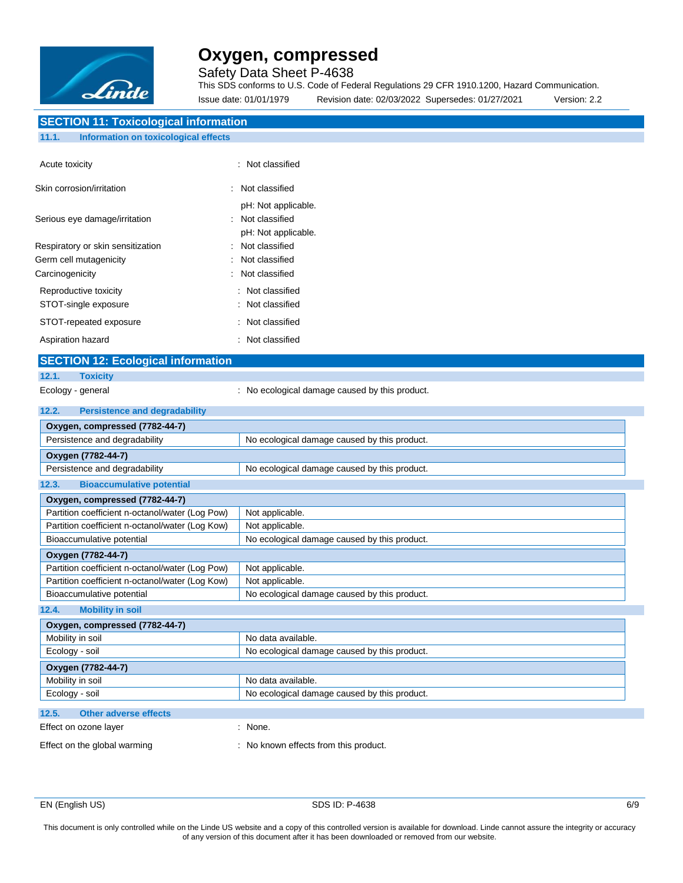

Safety Data Sheet P-4638

This SDS conforms to U.S. Code of Federal Regulations 29 CFR 1910.1200, Hazard Communication. Issue date: 01/01/1979 Revision date: 02/03/2022 Supersedes: 01/27/2021 Version: 2.2

### **SECTION 11: Toxicological information**

### **11.1. Information on toxicological effects**

| Acute toxicity                                | : Not classified                                                          |
|-----------------------------------------------|---------------------------------------------------------------------------|
| Skin corrosion/irritation                     | $\therefore$ Not classified                                               |
| Serious eye damage/irritation                 | pH: Not applicable.<br>$\therefore$ Not classified<br>pH: Not applicable. |
| Respiratory or skin sensitization             | Not classified                                                            |
| Germ cell mutagenicity                        | Not classified                                                            |
| Carcinogenicity                               | : Not classified                                                          |
| Reproductive toxicity<br>STOT-single exposure | $\therefore$ Not classified<br>: Not classified                           |
| STOT-repeated exposure                        | $\therefore$ Not classified                                               |
| Aspiration hazard                             | : Not classified                                                          |

### **SECTION 12: Ecological information**

### **12.1. Toxicity**

- 
- Ecology general **Example 20** : No ecological damage caused by this product.

| 12.2.<br><b>Persistence and degradability</b>   |                                              |  |  |
|-------------------------------------------------|----------------------------------------------|--|--|
| Oxygen, compressed (7782-44-7)                  |                                              |  |  |
| Persistence and degradability                   | No ecological damage caused by this product. |  |  |
| Oxygen (7782-44-7)                              |                                              |  |  |
| Persistence and degradability                   | No ecological damage caused by this product. |  |  |
| 12.3.<br><b>Bioaccumulative potential</b>       |                                              |  |  |
| Oxygen, compressed (7782-44-7)                  |                                              |  |  |
| Partition coefficient n-octanol/water (Log Pow) | Not applicable.                              |  |  |
| Partition coefficient n-octanol/water (Log Kow) | Not applicable.                              |  |  |
| Bioaccumulative potential                       | No ecological damage caused by this product. |  |  |
| Oxygen (7782-44-7)                              |                                              |  |  |
| Partition coefficient n-octanol/water (Log Pow) | Not applicable.                              |  |  |
| Partition coefficient n-octanol/water (Log Kow) | Not applicable.                              |  |  |
| Bioaccumulative potential                       | No ecological damage caused by this product. |  |  |
| <b>Mobility in soil</b><br>12.4.                |                                              |  |  |
| Oxygen, compressed (7782-44-7)                  |                                              |  |  |
| Mobility in soil                                | No data available.                           |  |  |
| Ecology - soil                                  | No ecological damage caused by this product. |  |  |
| Oxygen (7782-44-7)                              |                                              |  |  |
| Mobility in soil                                | No data available.                           |  |  |
| Ecology - soil                                  | No ecological damage caused by this product. |  |  |
| <b>Other adverse effects</b><br>12.5.           |                                              |  |  |
| Effect on ozone layer                           | $:$ None.                                    |  |  |
| Effect on the global warming                    | : No known effects from this product.        |  |  |

EN (English US) 6/9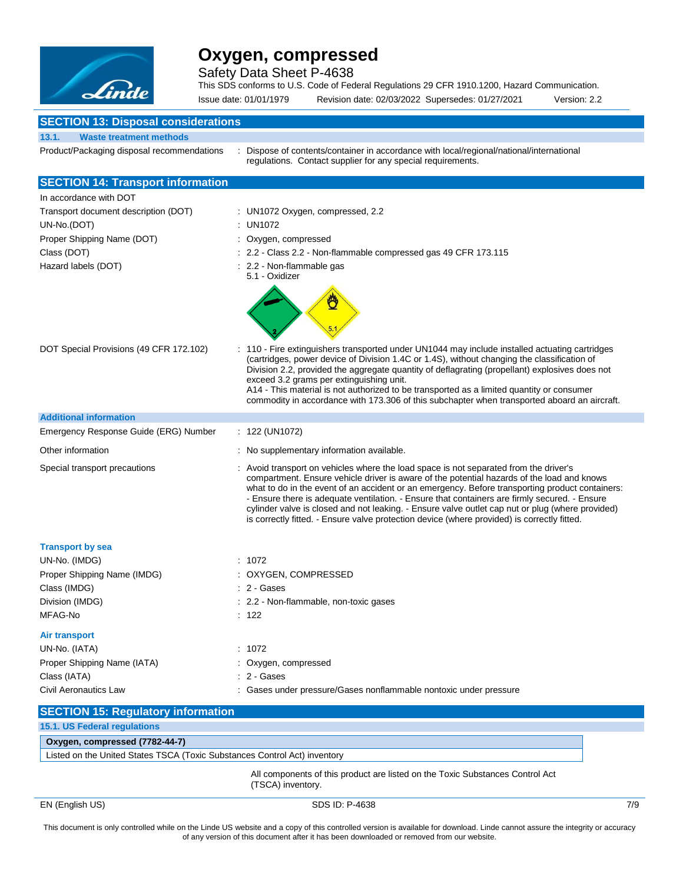

Safety Data Sheet P-4638

This SDS conforms to U.S. Code of Federal Regulations 29 CFR 1910.1200, Hazard Communication.

Issue date: 01/01/1979 Revision date: 02/03/2022 Supersedes: 01/27/2021 Version: 2.2

### **SECTION 43:**

| <b>SECTION TO: Disposal considerations</b> |                                                                                                                                                                                                                                                                                                                                                                                                                                                                                                                                                                                            |
|--------------------------------------------|--------------------------------------------------------------------------------------------------------------------------------------------------------------------------------------------------------------------------------------------------------------------------------------------------------------------------------------------------------------------------------------------------------------------------------------------------------------------------------------------------------------------------------------------------------------------------------------------|
| 13.1.<br><b>Waste treatment methods</b>    |                                                                                                                                                                                                                                                                                                                                                                                                                                                                                                                                                                                            |
| Product/Packaging disposal recommendations | Dispose of contents/container in accordance with local/regional/national/international<br>regulations. Contact supplier for any special requirements.                                                                                                                                                                                                                                                                                                                                                                                                                                      |
| <b>SECTION 14: Transport information</b>   |                                                                                                                                                                                                                                                                                                                                                                                                                                                                                                                                                                                            |
| In accordance with DOT                     |                                                                                                                                                                                                                                                                                                                                                                                                                                                                                                                                                                                            |
| Transport document description (DOT)       | : UN1072 Oxygen, compressed, 2.2                                                                                                                                                                                                                                                                                                                                                                                                                                                                                                                                                           |
| UN-No.(DOT)                                | : UN1072                                                                                                                                                                                                                                                                                                                                                                                                                                                                                                                                                                                   |
| Proper Shipping Name (DOT)                 | : Oxygen, compressed                                                                                                                                                                                                                                                                                                                                                                                                                                                                                                                                                                       |
| Class (DOT)                                | : 2.2 - Class 2.2 - Non-flammable compressed gas 49 CFR 173.115                                                                                                                                                                                                                                                                                                                                                                                                                                                                                                                            |
| Hazard labels (DOT)                        | : 2.2 - Non-flammable gas<br>5.1 - Oxidizer                                                                                                                                                                                                                                                                                                                                                                                                                                                                                                                                                |
|                                            | Ö                                                                                                                                                                                                                                                                                                                                                                                                                                                                                                                                                                                          |
| DOT Special Provisions (49 CFR 172.102)    | : 110 - Fire extinguishers transported under UN1044 may include installed actuating cartridges<br>(cartridges, power device of Division 1.4C or 1.4S), without changing the classification of<br>Division 2.2, provided the aggregate quantity of deflagrating (propellant) explosives does not<br>exceed 3.2 grams per extinguishing unit.<br>A14 - This material is not authorized to be transported as a limited quantity or consumer<br>commodity in accordance with 173.306 of this subchapter when transported aboard an aircraft.                                                   |
| <b>Additional information</b>              |                                                                                                                                                                                                                                                                                                                                                                                                                                                                                                                                                                                            |
| Emergency Response Guide (ERG) Number      | $: 122$ (UN1072)                                                                                                                                                                                                                                                                                                                                                                                                                                                                                                                                                                           |
| Other information                          | : No supplementary information available.                                                                                                                                                                                                                                                                                                                                                                                                                                                                                                                                                  |
| Special transport precautions              | : Avoid transport on vehicles where the load space is not separated from the driver's<br>compartment. Ensure vehicle driver is aware of the potential hazards of the load and knows<br>what to do in the event of an accident or an emergency. Before transporting product containers:<br>- Ensure there is adequate ventilation. - Ensure that containers are firmly secured. - Ensure<br>cylinder valve is closed and not leaking. - Ensure valve outlet cap nut or plug (where provided)<br>is correctly fitted. - Ensure valve protection device (where provided) is correctly fitted. |
| <b>Transport by sea</b>                    |                                                                                                                                                                                                                                                                                                                                                                                                                                                                                                                                                                                            |
| UN-No. (IMDG)                              | : 1072                                                                                                                                                                                                                                                                                                                                                                                                                                                                                                                                                                                     |
| Proper Shipping Name (IMDG)                | : OXYGEN, COMPRESSED                                                                                                                                                                                                                                                                                                                                                                                                                                                                                                                                                                       |
| Class (IMDG)                               | : 2 - Gases                                                                                                                                                                                                                                                                                                                                                                                                                                                                                                                                                                                |
| Division (IMDG)                            | : 2.2 - Non-flammable, non-toxic gases                                                                                                                                                                                                                                                                                                                                                                                                                                                                                                                                                     |
| MFAG-No                                    | : 122                                                                                                                                                                                                                                                                                                                                                                                                                                                                                                                                                                                      |
| <b>Air transport</b>                       |                                                                                                                                                                                                                                                                                                                                                                                                                                                                                                                                                                                            |
| UN-No. (IATA)                              | : 1072                                                                                                                                                                                                                                                                                                                                                                                                                                                                                                                                                                                     |
| Proper Shipping Name (IATA)                | : Oxygen, compressed                                                                                                                                                                                                                                                                                                                                                                                                                                                                                                                                                                       |
| Class (IATA)                               | : 2 - Gases                                                                                                                                                                                                                                                                                                                                                                                                                                                                                                                                                                                |
| Civil Aeronautics Law                      | : Gases under pressure/Gases nonflammable nontoxic under pressure                                                                                                                                                                                                                                                                                                                                                                                                                                                                                                                          |
| <b>SECTION 15: Regulatory information</b>  |                                                                                                                                                                                                                                                                                                                                                                                                                                                                                                                                                                                            |

### **15.1. US Federal regulations Oxygen, compressed (7782-44-7)** Listed on the United States TSCA (Toxic Substances Control Act) inventory

All components of this product are listed on the Toxic Substances Control Act (TSCA) inventory.

EN (English US) SDS ID: P-4638 7/9

Ţ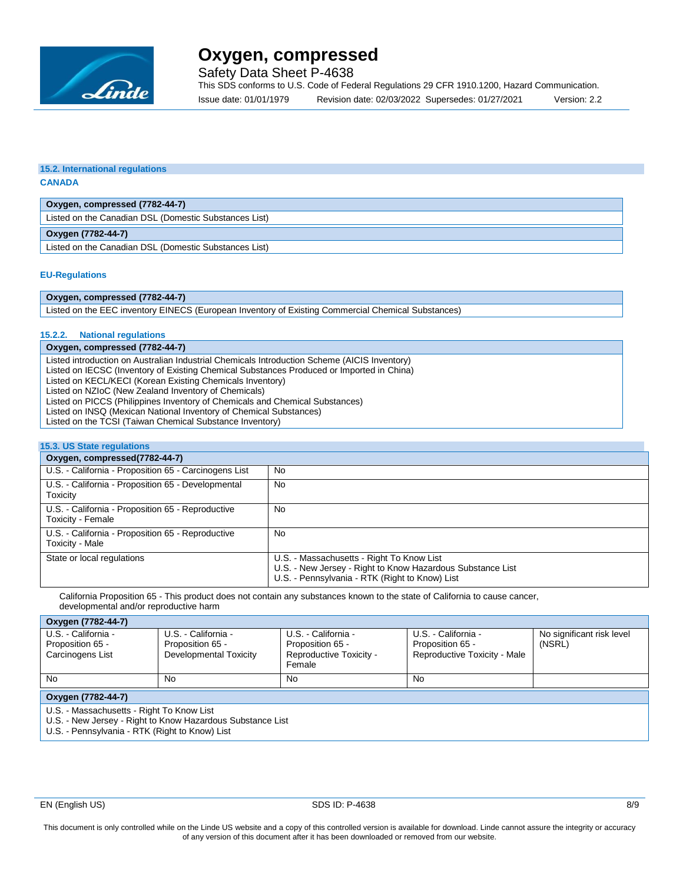

Safety Data Sheet P-4638

This SDS conforms to U.S. Code of Federal Regulations 29 CFR 1910.1200, Hazard Communication. Issue date: 01/01/1979 Revision date: 02/03/2022 Supersedes: 01/27/2021 Version: 2.2

#### **15.2. International regulations CANADA**

### **Oxygen, compressed (7782-44-7)**

Listed on the Canadian DSL (Domestic Substances List)

**Oxygen (7782-44-7)**

Listed on the Canadian DSL (Domestic Substances List)

### **EU-Regulations**

### **Oxygen, compressed (7782-44-7)**

Listed on the EEC inventory EINECS (European Inventory of Existing Commercial Chemical Substances)

#### **15.2.2. National regulations**

### **Oxygen, compressed (7782-44-7)**

Listed introduction on Australian Industrial Chemicals Introduction Scheme (AICIS Inventory) Listed on IECSC (Inventory of Existing Chemical Substances Produced or Imported in China)

Listed on KECL/KECI (Korean Existing Chemicals Inventory)

Listed on NZIoC (New Zealand Inventory of Chemicals)

Listed on PICCS (Philippines Inventory of Chemicals and Chemical Substances)

Listed on INSQ (Mexican National Inventory of Chemical Substances) Listed on the TCSI (Taiwan Chemical Substance Inventory)

### **15.3. US State regulations**

| Oxygen, compressed(7782-44-7)                                          |                                                                                                                                                           |  |  |  |
|------------------------------------------------------------------------|-----------------------------------------------------------------------------------------------------------------------------------------------------------|--|--|--|
| U.S. - California - Proposition 65 - Carcinogens List                  | <b>No</b>                                                                                                                                                 |  |  |  |
| U.S. - California - Proposition 65 - Developmental<br>Toxicity         | No                                                                                                                                                        |  |  |  |
| U.S. - California - Proposition 65 - Reproductive<br>Toxicity - Female | No                                                                                                                                                        |  |  |  |
| U.S. - California - Proposition 65 - Reproductive<br>Toxicity - Male   | No.                                                                                                                                                       |  |  |  |
| State or local regulations                                             | U.S. - Massachusetts - Right To Know List<br>U.S. - New Jersey - Right to Know Hazardous Substance List<br>U.S. - Pennsylvania - RTK (Right to Know) List |  |  |  |

California Proposition 65 - This product does not contain any substances known to the state of California to cause cancer, developmental and/or reproductive harm

### **Oxygen (7782-44-7)**

| $-1$ , $-1$ , $-1$ , $-1$ , $-1$ , $-1$                       |                        |                         |                              |                           |  |  |  |
|---------------------------------------------------------------|------------------------|-------------------------|------------------------------|---------------------------|--|--|--|
| U.S. - California -                                           | U.S. - California -    | U.S. - California -     | U.S. - California -          | No significant risk level |  |  |  |
| Proposition 65 -                                              | Proposition 65 -       | Proposition 65 -        | Proposition 65 -             | (NSRL)                    |  |  |  |
| Carcinogens List                                              | Developmental Toxicity | Reproductive Toxicity - | Reproductive Toxicity - Male |                           |  |  |  |
|                                                               |                        | Female                  |                              |                           |  |  |  |
| <b>No</b>                                                     | No                     | No                      | No                           |                           |  |  |  |
|                                                               |                        |                         |                              |                           |  |  |  |
| Oxygen (7782-44-7)                                            |                        |                         |                              |                           |  |  |  |
| U.S. - Massachusetts - Right To Know List                     |                        |                         |                              |                           |  |  |  |
| 11.0 No. 1404 Charles Diabetta Kancel Language Cubatanan List |                        |                         |                              |                           |  |  |  |

U.S. - New Jersey - Right to Know Hazardous Substance List

U.S. - Pennsylvania - RTK (Right to Know) List